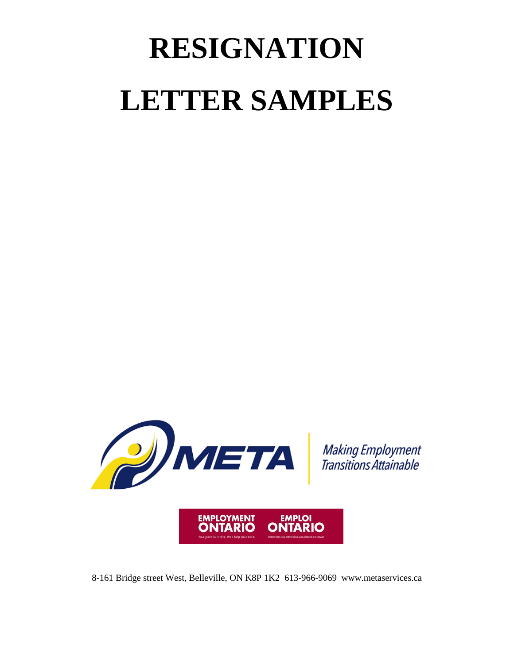## **RESIGNATION LETTER SAMPLES**



8-161 Bridge street West, Belleville, ON K8P 1K2 613-966-9069 www.metaservices.ca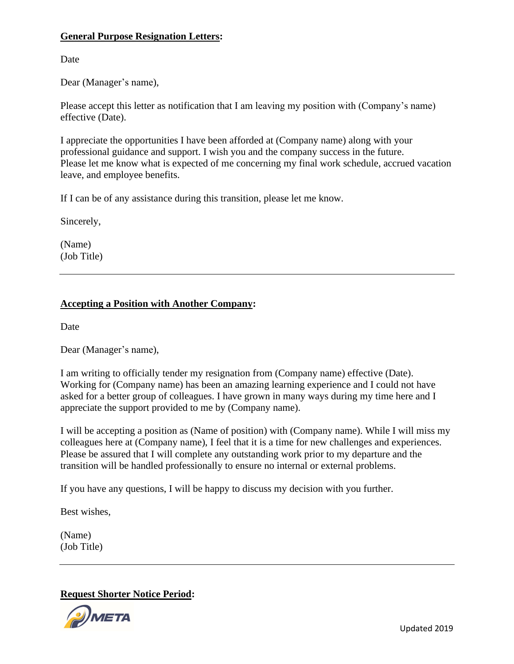## **General Purpose Resignation Letters:**

Date

Dear (Manager's name),

Please accept this letter as notification that I am leaving my position with (Company's name) effective (Date).

I appreciate the opportunities I have been afforded at (Company name) along with your professional guidance and support. I wish you and the company success in the future. Please let me know what is expected of me concerning my final work schedule, accrued vacation leave, and employee benefits.

If I can be of any assistance during this transition, please let me know.

Sincerely,

(Name) (Job Title)

## **Accepting a Position with Another Company:**

Date

Dear (Manager's name),

I am writing to officially tender my resignation from (Company name) effective (Date). Working for (Company name) has been an amazing learning experience and I could not have asked for a better group of colleagues. I have grown in many ways during my time here and I appreciate the support provided to me by (Company name).

I will be accepting a position as (Name of position) with (Company name). While I will miss my colleagues here at (Company name), I feel that it is a time for new challenges and experiences. Please be assured that I will complete any outstanding work prior to my departure and the transition will be handled professionally to ensure no internal or external problems.

If you have any questions, I will be happy to discuss my decision with you further.

Best wishes,

(Name) (Job Title)

**Request Shorter Notice Period:**



Updated 2019